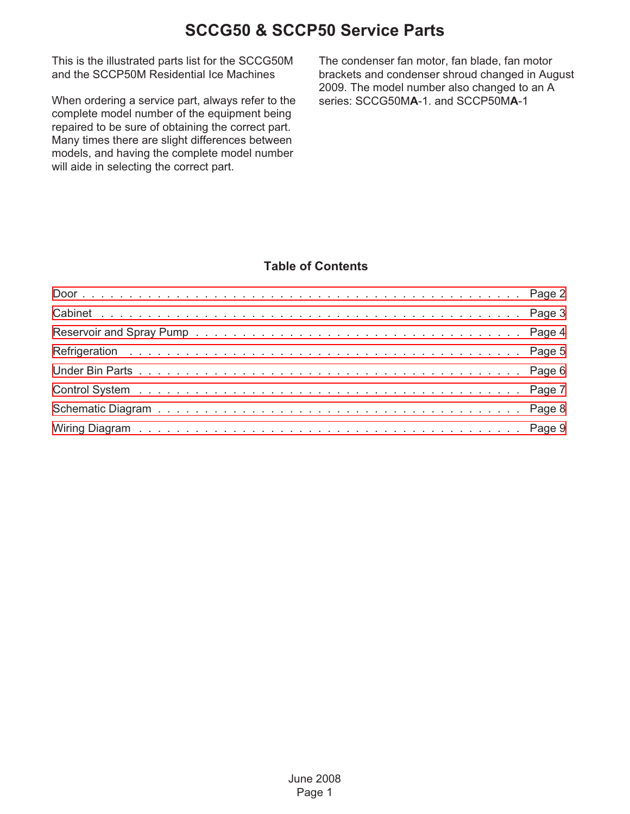This is the illustrated parts list for the SCCG50M and the SCCP50M Residential Ice Machines

When ordering a service part, always refer to the complete model number of the equipment being repaired to be sure of obtaining the correct part. Many times there are slight differences between models, and having the complete model number will aide in selecting the correct part.

The condenser fan motor, fan blade, fan motor brackets and condenser shroud changed in August 2009. The model number also changed to an A series: SCCG50M**A**-1. and SCCP50M**A**-1

#### **Table of Contents**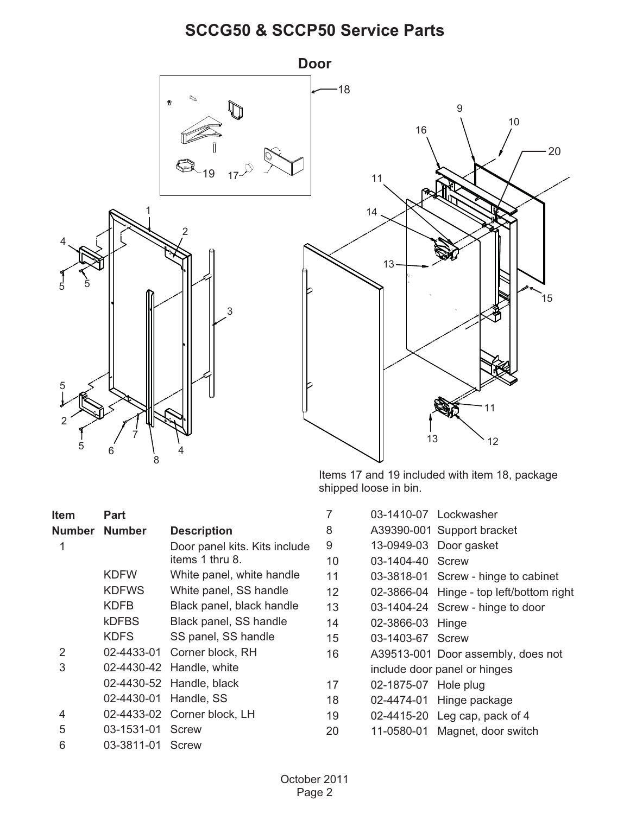<span id="page-1-0"></span>

Items 17 and 19 included with item 18, package shipped loose in bin.

| <b>Item</b>    | <b>Part</b>      |                               |    |                      | 03-1410-07 Lockwasher                    |
|----------------|------------------|-------------------------------|----|----------------------|------------------------------------------|
| Number         | <b>Number</b>    | <b>Description</b>            | 8  |                      | A39390-001 Support bracket               |
|                |                  | Door panel kits. Kits include | 9  |                      | 13-0949-03 Door gasket                   |
|                |                  | items 1 thru 8.               | 10 | 03-1404-40 Screw     |                                          |
|                | <b>KDFW</b>      | White panel, white handle     | 11 |                      | 03-3818-01 Screw - hinge to cabinet      |
|                | <b>KDFWS</b>     | White panel, SS handle        | 12 |                      | 02-3866-04 Hinge - top left/bottom right |
|                | <b>KDFB</b>      | Black panel, black handle     | 13 |                      | 03-1404-24 Screw - hinge to door         |
|                | <b>kDFBS</b>     | Black panel, SS handle        | 14 | 02-3866-03 Hinge     |                                          |
|                | <b>KDFS</b>      | SS panel, SS handle           | 15 | 03-1403-67 Screw     |                                          |
| $\overline{2}$ | 02-4433-01       | Corner block, RH              | 16 |                      | A39513-001 Door assembly, does not       |
| 3              |                  | 02-4430-42 Handle, white      |    |                      | include door panel or hinges             |
|                |                  | 02-4430-52 Handle, black      | 17 | 02-1875-07 Hole plug |                                          |
|                |                  | 02-4430-01 Handle, SS         | 18 |                      | 02-4474-01 Hinge package                 |
| 4              |                  | 02-4433-02 Corner block, LH   | 19 |                      | 02-4415-20 Leg cap, pack of 4            |
| 5              | 03-1531-01       | Screw                         | 20 |                      | 11-0580-01 Magnet, door switch           |
| 6              | 03-3811-01 Screw |                               |    |                      |                                          |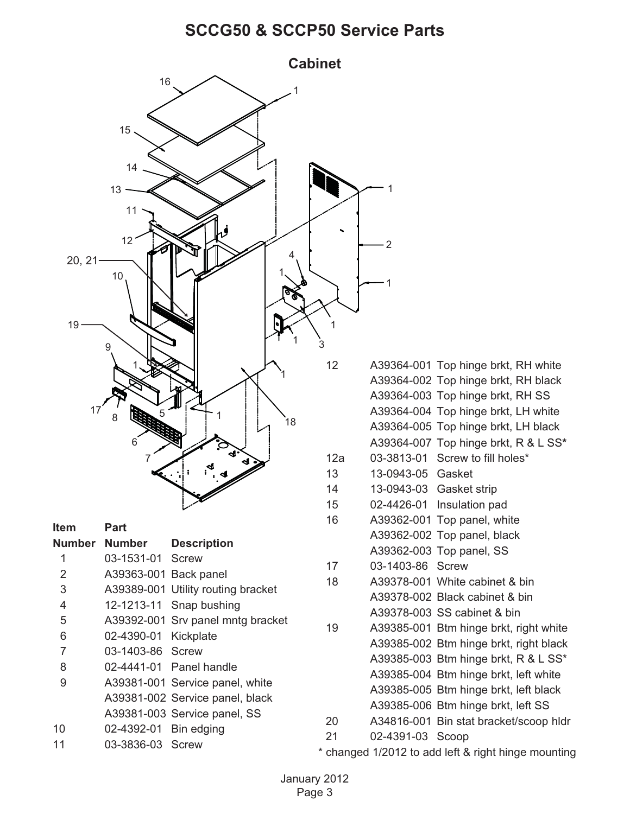<span id="page-2-0"></span>

- A39385-006 Btm hinge brkt, left SS
- 20 A34816-001 Bin stat bracket/scoop hldr
- 21 02-4391-03 Scoop

\* changed 1/2012 to add left & right hinge mounting

A39381-003 Service panel, SS

10 02-4392-01 Bin edging 11 03-3836-03 Screw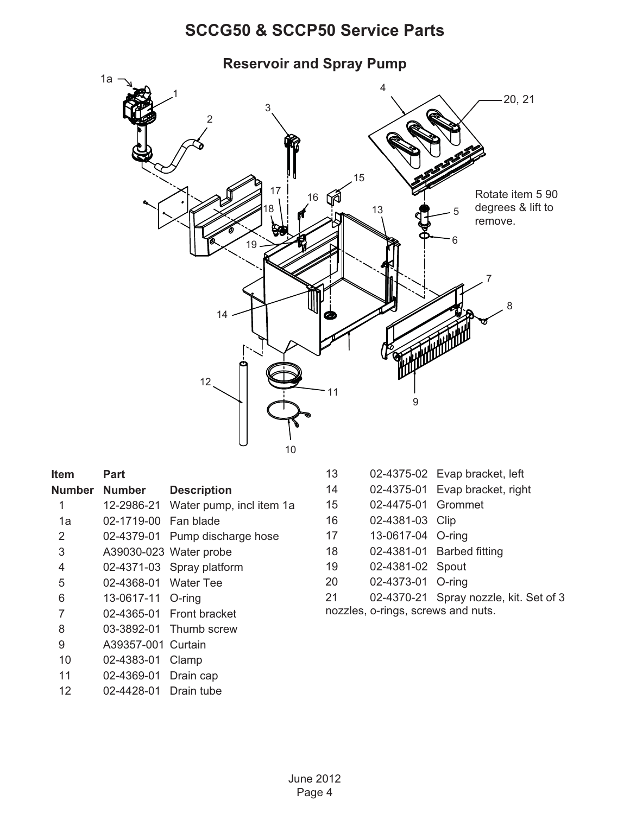<span id="page-3-0"></span>

| ltem   | Part              |                          |
|--------|-------------------|--------------------------|
| Number | <b>Number</b>     | <b>Description</b>       |
| 1      | 12-2986-21        | Water pump, incl item 1a |
| 1а     | 02-1719-00        | Fan blade                |
| 2      | 02-4379-01        | Pump discharge hose      |
| 3      |                   | A39030-023 Water probe   |
| 4      | 02-4371-03        | Spray platform           |
| 5      | 02-4368-01        | <b>Water Tee</b>         |
| 6      | 13-0617-11 O-ring |                          |
| 7      | 02-4365-01        | <b>Front bracket</b>     |
| 8      |                   | 03-3892-01 Thumb screw   |
| 9      | A39357-001        | Curtain                  |
| 10     | 02-4383-01        | Clamp                    |
| 11     | 02-4369-01        | Drain cap                |
| 12     | 02-4428-01        | Drain tube               |

- 13 02-4375-02 Evap bracket, left
- 14 02-4375-01 Evap bracket, right
- 15 02-4475-01 Grommet
- 16 02-4381-03 Clip
- 17 13-0617-04 O-ring
- 18 02-4381-01 Barbed fitting
- 19 02-4381-02 Spout
- 20 02-4373-01 O-ring
- 21 02-4370-21 Spray nozzle, kit. Set of 3
- nozzles, o-rings, screws and nuts.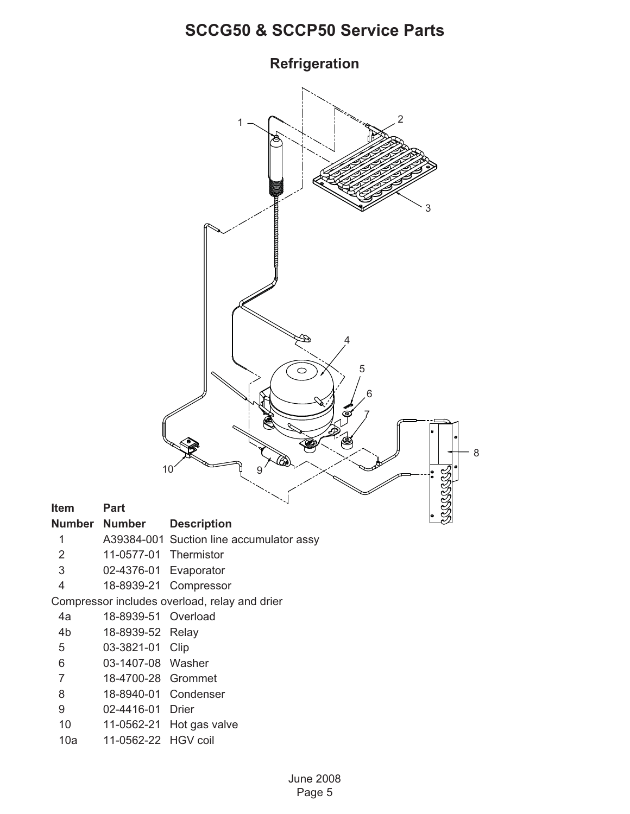<span id="page-4-0"></span>

- 
- 
- 
- 

| 4a | 18-8939-51 Overload |  |
|----|---------------------|--|
|    |                     |  |

- 
- 5 03-3821-01 Clip
- 6 03-1407-08 Washer
- 7 18-4700-28 Grommet
- 8 18-8940-01 Condenser
- 9 02-4416-01 Drier
- 10 11-0562-21 Hot gas valve
- 10a 11-0562-22 HGV coil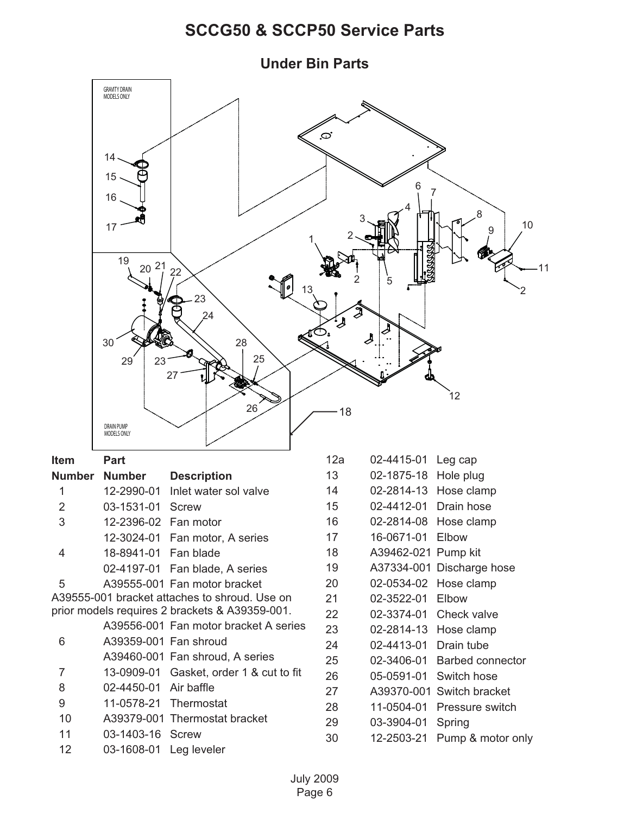<span id="page-5-0"></span>**Under Bin Parts** GRAVITY DRAIN MODELS ONLY  $\infty$ 14 15 6 16 4 8 3 10 17  $1, 2$ 19  $20^{21}$   $22$ 11 2 5 13 2 23  $24$ 30 2825 29 23 27 12 26 18 DRAIN PUMP MODELS ONLY **Item Part** 12a 02-4415-01 Leg cap 13 02-1875-18 Hole plug **Number Number Description** 1 12-2990-01 Inlet water sol valve 14 02-2814-13 Hose clamp 2 03-1531-01 Screw 15 02-4412-01 Drain hose 16 02-2814-08 Hose clamp 3 12-2396-02 Fan motor 17 16-0671-01 Elbow 12-3024-01 Fan motor, A series 18 A39462-021 Pump kit 4 18-8941-01 Fan blade 19 A37334-001 Discharge hose 02-4197-01 Fan blade, A series 20 02-0534-02 Hose clamp 5 A39555-001 Fan motor bracket A39555-001 bracket attaches to shroud. Use on 21 02-3522-01 Elbow prior models requires 2 brackets & A39359-001. 22 02-3374-01 Check valve A39556-001 Fan motor bracket A series 23 02-2814-13 Hose clamp 6 A39359-001 Fan shroud 24 02-4413-01 Drain tube A39460-001 Fan shroud, A series 25 02-3406-01 Barbed connector 7 13-0909-01 Gasket, order 1 & cut to fit 26 05-0591-01 Switch hose 8 02-4450-01 Air baffle 27 A39370-001 Switch bracket 9 11-0578-21 Thermostat 28 11-0504-01 Pressure switch 10 A39379-001 Thermostat bracket 29 03-3904-01 Spring 11 03-1403-16 Screw 30 12-2503-21 Pump & motor only 12 03-1608-01 Leg leveler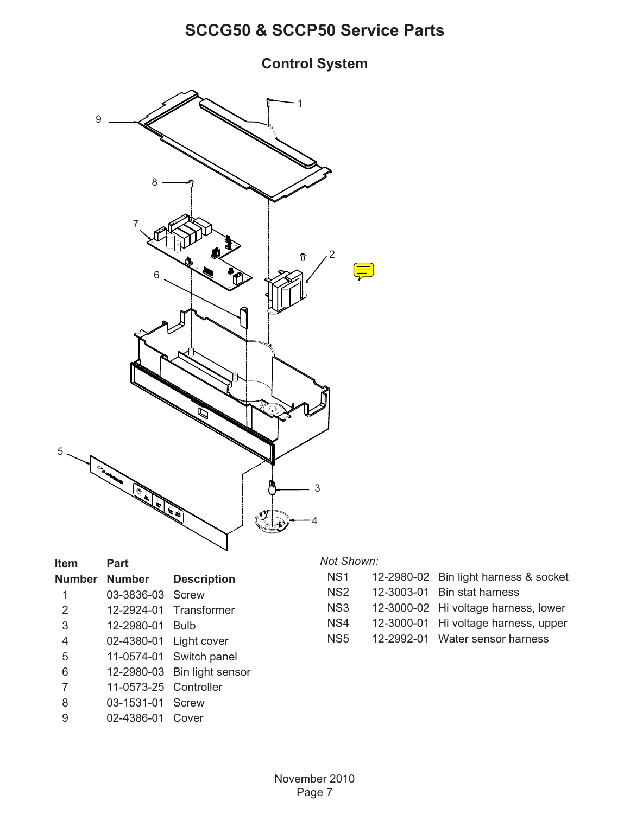#### <span id="page-6-0"></span>**Control System**



| Item   | Part             |                    |
|--------|------------------|--------------------|
| Number | <b>Number</b>    | <b>Description</b> |
| 1      | 03-3836-03       | Screw              |
| 2      | 12-2924-01       | Transformer        |
| 3      | 12-2980-01       | Bulb               |
| 4      | 02-4380-01       | Light cover        |
| 5      | 11-0574-01       | Switch panel       |
| 6      | 12-2980-03       | Bin light sensor   |
| 7      | 11-0573-25       | Controller         |
| 8      | 03-1531-01 Screw |                    |
|        |                  |                    |

9 02-4386-01 Cover

5

#### *Not Shown:*

| NS1 | 12-2980-02 Bin light harness & socket |
|-----|---------------------------------------|
|-----|---------------------------------------|

- NS2 12-3003-01 Bin stat harness
- NS3 12-3000-02 Hi voltage harness, lower
- NS4 12-3000-01 Hi voltage harness, upper
- NS5 12-2992-01 Water sensor harness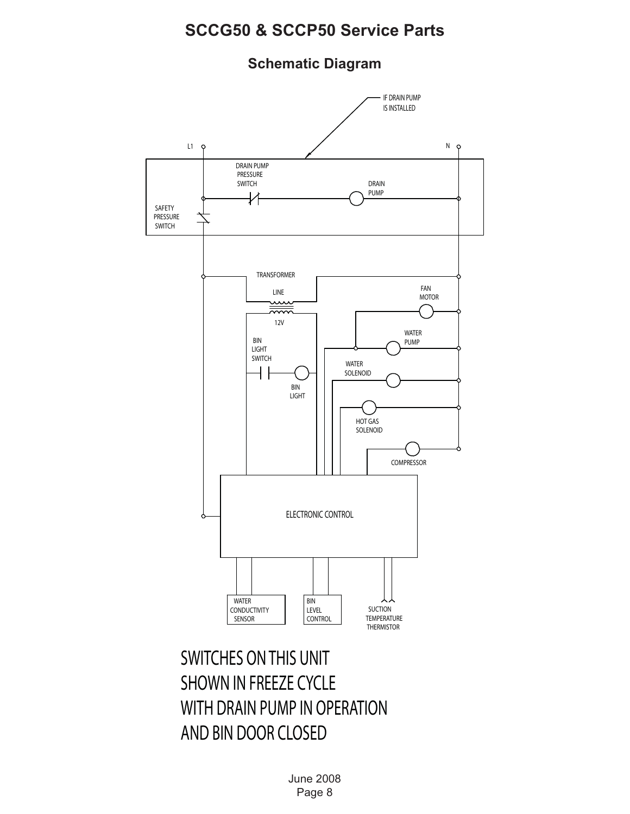<span id="page-7-0"></span>**Schematic Diagram**



June 2008 Page 8